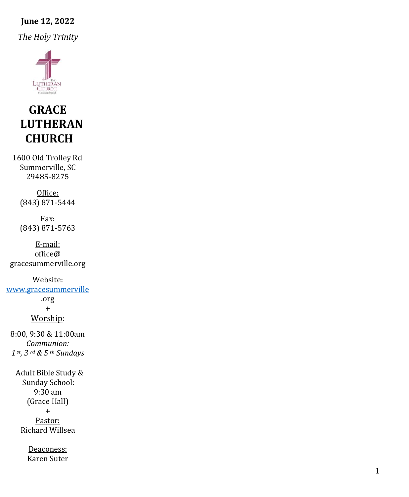# **June 12, 2022**

*The Holy Trinity*



# **GRACE LUTHERAN CHURCH**

1600 Old Trolley Rd Summerville, SC 29485 -8275

> Office: (843) 871 -5444

Fax: (843) 871 -5763

E -mail: office@ gracesummerville.org

Website: [www.gracesummerville](http://www.gracesummerville/) .org**+** Worship: 8:00, 9:30 & 11:00am *Communion: 1 st, 3 rd & 5 th Sundays*

> Adult Bible Study & Sunday School: 9:30 am (Grace Hall) **+** Pastor:

Richard Willsea

Deaconess: Karen Suter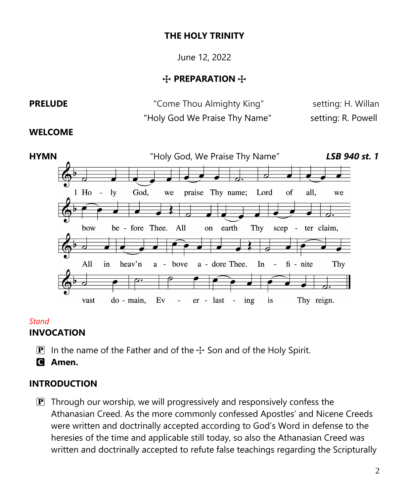#### **THE HOLY TRINITY**

June 12, 2022

#### **T** PREPARATION  $+$

# **PRELUDE Come Thou Almighty King"** setting: H. Willan "Holy God We Praise Thy Name" setting: R. Powell

#### **WELCOME**



#### *Stand*

#### **INVOCATION**

**P** In the name of the Father and of the  $\pm$  Son and of the Holy Spirit.

C **Amen.**

#### **INTRODUCTION**

 $\mathbf{P}$  Through our worship, we will progressively and responsively confess the Athanasian Creed. As the more commonly confessed Apostles' and Nicene Creeds were written and doctrinally accepted according to God's Word in defense to the heresies of the time and applicable still today, so also the Athanasian Creed was written and doctrinally accepted to refute false teachings regarding the Scripturally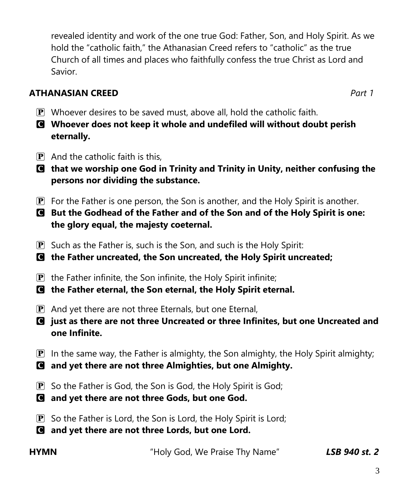revealed identity and work of the one true God: Father, Son, and Holy Spirit. As we hold the "catholic faith," the Athanasian Creed refers to "catholic" as the true Church of all times and places who faithfully confess the true Christ as Lord and Savior.

### **ATHANASIAN CREED** *Part 1*

- $\mathbf{P}$  Whoever desires to be saved must, above all, hold the catholic faith.
- C **Whoever does not keep it whole and undefiled will without doubt perish eternally.**
- $\mathbf{P}$  And the catholic faith is this.
- C **that we worship one God in Trinity and Trinity in Unity, neither confusing the persons nor dividing the substance.**
- $\mathbf{P}$  For the Father is one person, the Son is another, and the Holy Spirit is another.
- C **But the Godhead of the Father and of the Son and of the Holy Spirit is one: the glory equal, the majesty coeternal.**
- $\mathbf{P}$  Such as the Father is, such is the Son, and such is the Holy Spirit:
- C **the Father uncreated, the Son uncreated, the Holy Spirit uncreated;**
- $\mathbf{P}$  the Father infinite, the Son infinite, the Holy Spirit infinite;
- C **the Father eternal, the Son eternal, the Holy Spirit eternal.**
- $\mathbf{P}$  And yet there are not three Eternals, but one Eternal,
- C **just as there are not three Uncreated or three Infinites, but one Uncreated and one Infinite.**
- $\mathbf{P}$  In the same way, the Father is almighty, the Son almighty, the Holy Spirit almighty;
- C **and yet there are not three Almighties, but one Almighty.**
- **P** So the Father is God, the Son is God, the Holy Spirit is God;
- C **and yet there are not three Gods, but one God.**
- $\mathbf{P}$  So the Father is Lord, the Son is Lord, the Holy Spirit is Lord;
- C **and yet there are not three Lords, but one Lord.**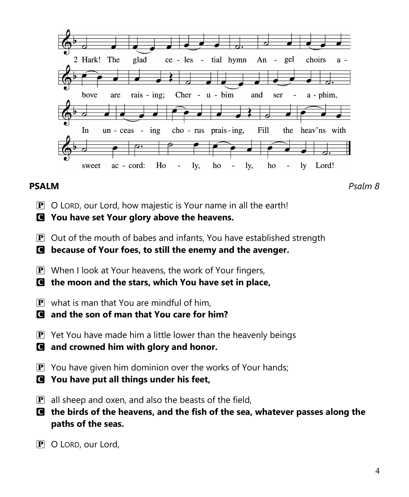

**PSALM** *Psalm 8*

P O LORD, our Lord, how majestic is Your name in all the earth!

C **You have set Your glory above the heavens.**

 $\mathbf{P}$  Out of the mouth of babes and infants, You have established strength

C **because of Your foes, to still the enemy and the avenger.**

- **P** When I look at Your heavens, the work of Your fingers,
- C **the moon and the stars, which You have set in place,**
- $\mathbf{P}$  what is man that You are mindful of him.
- C **and the son of man that You care for him?**
- $\mathbf{P}$  Yet You have made him a little lower than the heavenly beings
- C **and crowned him with glory and honor.**
- $\mathbf{P}$  You have given him dominion over the works of Your hands;
- C **You have put all things under his feet,**
- $\mathbf{P}$  all sheep and oxen, and also the beasts of the field,
- C **the birds of the heavens, and the fish of the sea, whatever passes along the paths of the seas.**
- P O LORD, our Lord,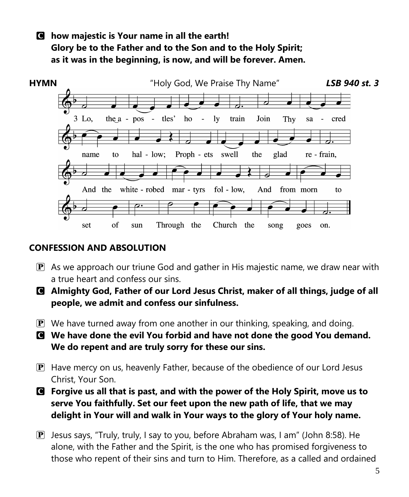### C **how majestic is Your name in all the earth! Glory be to the Father and to the Son and to the Holy Spirit; as it was in the beginning, is now, and will be forever. Amen.**



### **CONFESSION AND ABSOLUTION**

- $\mathbf{P}$  As we approach our triune God and gather in His majestic name, we draw near with a true heart and confess our sins.
- C **Almighty God, Father of our Lord Jesus Christ, maker of all things, judge of all people, we admit and confess our sinfulness.**
- $\mathbf{P}$  We have turned away from one another in our thinking, speaking, and doing.
- C **We have done the evil You forbid and have not done the good You demand. We do repent and are truly sorry for these our sins.**
- P Have mercy on us, heavenly Father, because of the obedience of our Lord Jesus Christ, Your Son.
- C **Forgive us all that is past, and with the power of the Holy Spirit, move us to serve You faithfully. Set our feet upon the new path of life, that we may delight in Your will and walk in Your ways to the glory of Your holy name.**
- P Jesus says, "Truly, truly, I say to you, before Abraham was, I am" (John 8:58). He alone, with the Father and the Spirit, is the one who has promised forgiveness to those who repent of their sins and turn to Him. Therefore, as a called and ordained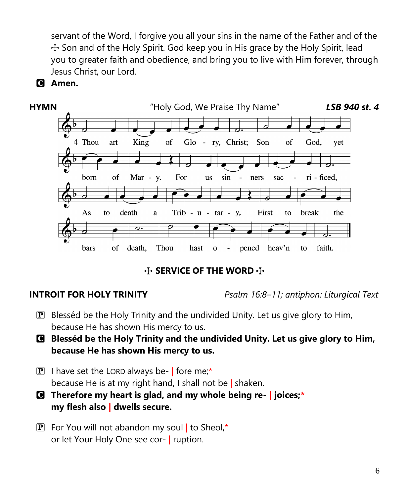servant of the Word, I forgive you all your sins in the name of the Father and of the  $+$  Son and of the Holy Spirit. God keep you in His grace by the Holy Spirit, lead you to greater faith and obedience, and bring you to live with Him forever, through Jesus Christ, our Lord.





**THE WORD THE SERVICE OF THE WORD THE** 

**INTROIT FOR HOLY TRINITY** *Psalm 16:8–11; antiphon: Liturgical Text*

- $\mathbf{P}$  Blesséd be the Holy Trinity and the undivided Unity. Let us give glory to Him, because He has shown His mercy to us.
- C **Blesséd be the Holy Trinity and the undivided Unity. Let us give glory to Him, because He has shown His mercy to us.**
- $\mathbf{P}$  I have set the LORD always be- | fore me;\* because He is at my right hand, I shall not be | shaken.
- C **Therefore my heart is glad, and my whole being re-** *|* **joices;***\** **my flesh also** *|* **dwells secure.**
- **P** For You will not abandon my soul to Sheol,\* or let Your Holy One see cor- | ruption.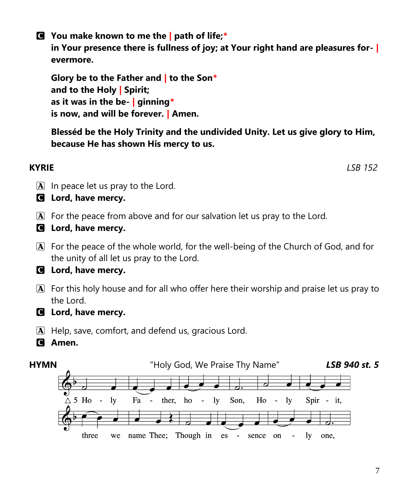7

C **You make known to me the** *|* **path of life;***\** **in Your presence there is fullness of joy; at Your right hand are pleasures for-** *|* **evermore.**

**Glory be to the Father and** *|* **to the Son***\** **and to the Holy** *|* **Spirit; as it was in the be-** *|* **ginning***\** **is now, and will be forever.** *|* **Amen.**

**Blesséd be the Holy Trinity and the undivided Unity. Let us give glory to Him, because He has shown His mercy to us.**

- $\boxed{\mathbf{A}}$  In peace let us pray to the Lord.
- C **Lord, have mercy.**
- $\bf{A}$  For the peace from above and for our salvation let us pray to the Lord.
- C **Lord, have mercy.**
- A For the peace of the whole world, for the well-being of the Church of God, and for the unity of all let us pray to the Lord.

# C **Lord, have mercy.**

- A For this holy house and for all who offer here their worship and praise let us pray to the Lord.
- C **Lord, have mercy.**
- A Help, save, comfort, and defend us, gracious Lord.
- C **Amen.**



**KYRIE** *LSB 152*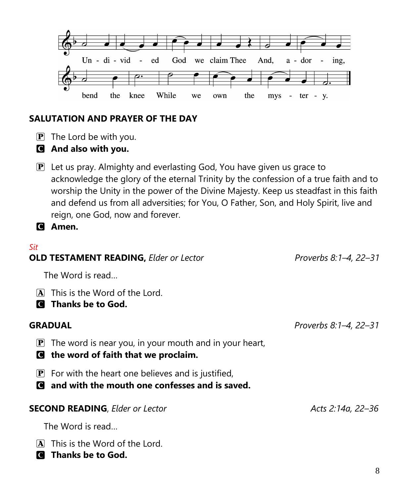

### **SALUTATION AND PRAYER OF THE DAY**

- $\mathbf{P}$  The Lord be with you.
- C **And also with you.**
- P Let us pray. Almighty and everlasting God, You have given us grace to acknowledge the glory of the eternal Trinity by the confession of a true faith and to worship the Unity in the power of the Divine Majesty. Keep us steadfast in this faith and defend us from all adversities; for You, O Father, Son, and Holy Spirit, live and reign, one God, now and forever.

C **Amen.**

#### *Sit*

| <b>OLD TESTAMENT READING, Elder or Lector</b>                                                                                  | Proverbs 8:1-4, 22-31 |
|--------------------------------------------------------------------------------------------------------------------------------|-----------------------|
| The Word is read                                                                                                               |                       |
| This is the Word of the Lord.<br>IAI<br>Thanks be to God.<br>I C I                                                             |                       |
| <b>GRADUAL</b>                                                                                                                 | Proverbs 8:1–4, 22–31 |
| The word is near you, in your mouth and in your heart,<br>$ {\bf P} $<br>the word of faith that we proclaim.<br><b>C</b>       |                       |
| For with the heart one believes and is justified,<br>$ {\bf P} $<br>and with the mouth one confesses and is saved.<br><b>C</b> |                       |
| <b>SECOND READING, Elder or Lector</b>                                                                                         | Acts 2:14a, 22–36     |
| The Word is read                                                                                                               |                       |
| This is the Word of the Lord.<br>IAI<br>Thanks be to God.<br>IC I                                                              |                       |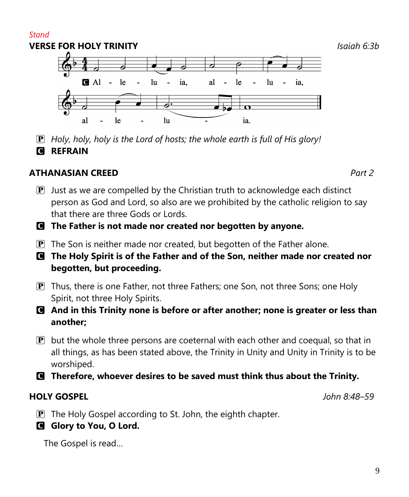9

#### *Stand* **VERSE FOR HOLY TRINITY** *Isaiah 6:3b*  $A1 - le$  $\ln$ ia. al le  $\ln$  $\blacksquare$  $\sim$ L.

le

P *Holy, holy, holy is the Lord of hosts; the whole earth is full of His glory!* **G REFRAIN** 

 $\ln$ 

## **ATHANASIAN CREED** *Part 2*

al

- $\mathbf{P}$  Just as we are compelled by the Christian truth to acknowledge each distinct person as God and Lord, so also are we prohibited by the catholic religion to say that there are three Gods or Lords.
- C **The Father is not made nor created nor begotten by anyone.**
- $\boxed{\mathbf{P}}$  The Son is neither made nor created, but begotten of the Father alone.
- C **The Holy Spirit is of the Father and of the Son, neither made nor created nor begotten, but proceeding.**
- P Thus, there is one Father, not three Fathers; one Son, not three Sons; one Holy Spirit, not three Holy Spirits.
- C **And in this Trinity none is before or after another; none is greater or less than another;**
- $\mathbf{P}$  but the whole three persons are coeternal with each other and coequal, so that in all things, as has been stated above, the Trinity in Unity and Unity in Trinity is to be worshiped.
- C **Therefore, whoever desires to be saved must think thus about the Trinity.**

#### **HOLY GOSPEL** *John 8:48–59*

- **P** The Holy Gospel according to St. John, the eighth chapter.
- **G** Glory to You, O Lord.

The Gospel is read…

ia,

ia.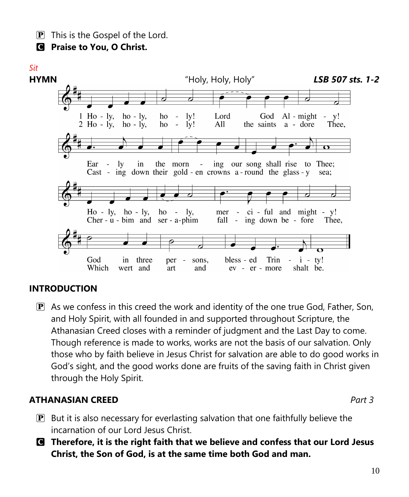$\boxed{\mathbf{P}}$  This is the Gospel of the Lord.

C **Praise to You, O Christ.**

#### *Sit*



#### **INTRODUCTION**

 $\mathbf{P}$  As we confess in this creed the work and identity of the one true God, Father, Son, and Holy Spirit, with all founded in and supported throughout Scripture, the Athanasian Creed closes with a reminder of judgment and the Last Day to come. Though reference is made to works, works are not the basis of our salvation. Only those who by faith believe in Jesus Christ for salvation are able to do good works in God's sight, and the good works done are fruits of the saving faith in Christ given through the Holy Spirit.

#### **ATHANASIAN CREED** *Part 3*

- $\mathbf{P}$  But it is also necessary for everlasting salvation that one faithfully believe the incarnation of our Lord Jesus Christ.
- C **Therefore, it is the right faith that we believe and confess that our Lord Jesus Christ, the Son of God, is at the same time both God and man.**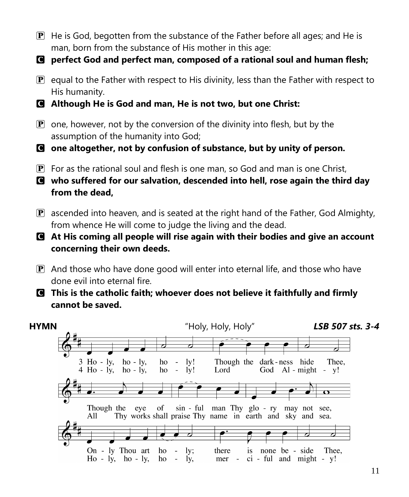- $\mathbb{P}$  He is God, begotten from the substance of the Father before all ages; and He is man, born from the substance of His mother in this age:
- C **perfect God and perfect man, composed of a rational soul and human flesh;**
- $\mathbf{P}$  equal to the Father with respect to His divinity, less than the Father with respect to His humanity.
- C **Although He is God and man, He is not two, but one Christ:**
- $\mathbf{P}$  one, however, not by the conversion of the divinity into flesh, but by the assumption of the humanity into God;
- C **one altogether, not by confusion of substance, but by unity of person.**
- $\mathbf{P}$  For as the rational soul and flesh is one man, so God and man is one Christ,
- C **who suffered for our salvation, descended into hell, rose again the third day from the dead,**
- $\mathbf{P}$  ascended into heaven, and is seated at the right hand of the Father, God Almighty, from whence He will come to judge the living and the dead.
- C **At His coming all people will rise again with their bodies and give an account concerning their own deeds.**
- P And those who have done good will enter into eternal life, and those who have done evil into eternal fire.
- C **This is the catholic faith; whoever does not believe it faithfully and firmly cannot be saved.**

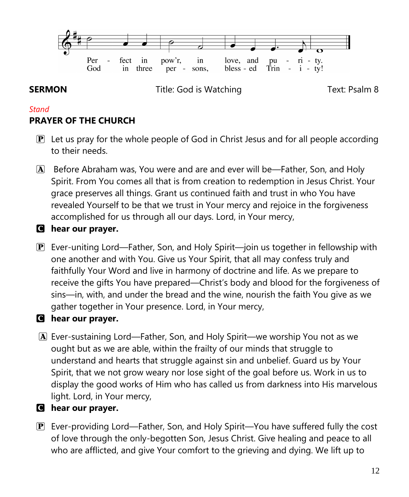

**SERMON Title:** God is Watching **Text: Psalm 8** 

### *Stand* **PRAYER OF THE CHURCH**

- $\mathbf{P}$  Let us pray for the whole people of God in Christ Jesus and for all people according to their needs.
- A Before Abraham was, You were and are and ever will be—Father, Son, and Holy Spirit. From You comes all that is from creation to redemption in Jesus Christ. Your grace preserves all things. Grant us continued faith and trust in who You have revealed Yourself to be that we trust in Your mercy and rejoice in the forgiveness accomplished for us through all our days. Lord, in Your mercy,
- C **hear our prayer.**
- P Ever-uniting Lord—Father, Son, and Holy Spirit—join us together in fellowship with one another and with You. Give us Your Spirit, that all may confess truly and faithfully Your Word and live in harmony of doctrine and life. As we prepare to receive the gifts You have prepared—Christ's body and blood for the forgiveness of sins—in, with, and under the bread and the wine, nourish the faith You give as we gather together in Your presence. Lord, in Your mercy,

### C **hear our prayer.**

A Ever-sustaining Lord—Father, Son, and Holy Spirit—we worship You not as we ought but as we are able, within the frailty of our minds that struggle to understand and hearts that struggle against sin and unbelief. Guard us by Your Spirit, that we not grow weary nor lose sight of the goal before us. Work in us to display the good works of Him who has called us from darkness into His marvelous light. Lord, in Your mercy,

### C **hear our prayer.**

P Ever-providing Lord—Father, Son, and Holy Spirit—You have suffered fully the cost of love through the only-begotten Son, Jesus Christ. Give healing and peace to all who are afflicted, and give Your comfort to the grieving and dying. We lift up to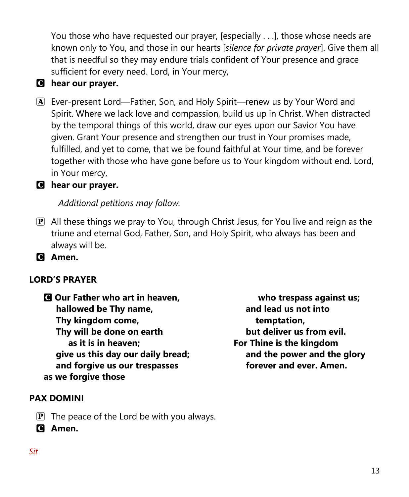You those who have requested our prayer,  $[$ especially . . .], those whose needs are known only to You, and those in our hearts [*silence for private prayer*]. Give them all that is needful so they may endure trials confident of Your presence and grace sufficient for every need. Lord, in Your mercy,

### C **hear our prayer.**

A Ever-present Lord—Father, Son, and Holy Spirit—renew us by Your Word and Spirit. Where we lack love and compassion, build us up in Christ. When distracted by the temporal things of this world, draw our eyes upon our Savior You have given. Grant Your presence and strengthen our trust in Your promises made, fulfilled, and yet to come, that we be found faithful at Your time, and be forever together with those who have gone before us to Your kingdom without end. Lord, in Your mercy,

#### C **hear our prayer.**

*Additional petitions may follow.*

 $\mathbf{P}$  All these things we pray to You, through Christ Jesus, for You live and reign as the triune and eternal God, Father, Son, and Holy Spirit, who always has been and always will be.

C **Amen.**

#### **LORD'S PRAYER**

C **Our Father who art in heaven, hallowed be Thy name, Thy kingdom come, Thy will be done on earth as it is in heaven; give us this day our daily bread; and forgive us our trespasses as we forgive those**

 **who trespass against us; and lead us not into temptation, but deliver us from evil. For Thine is the kingdom and the power and the glory forever and ever. Amen.**

#### **PAX DOMINI**

- $\mathbf{P}$  The peace of the Lord be with you always.
- C **Amen.**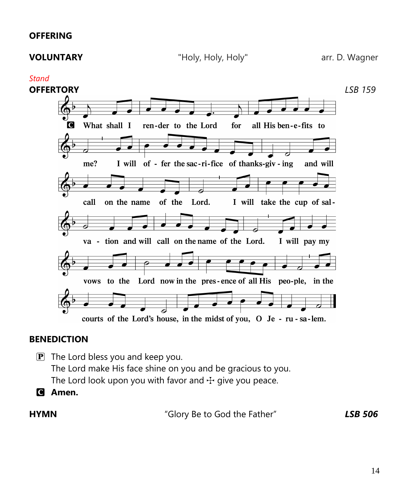#### **OFFERING**

#### *Stand*



#### **BENEDICTION**

- $\mathbf{P}$  The Lord bless you and keep you. The Lord make His face shine on you and be gracious to you. The Lord look upon you with favor and  $+$  give you peace.
- C **Amen.**

**HYMN** "Glory Be to God the Father" *LSB 506*